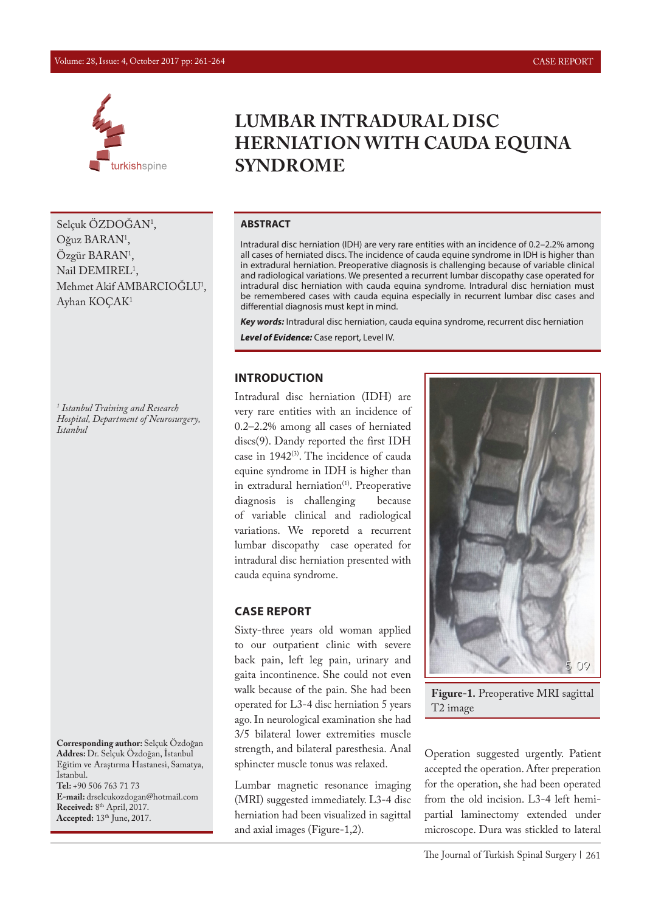

Selçuk ÖZDOGAN<sup>1</sup>, Oğuz BARAN<sup>1</sup>, Ozgür BARAN<sup>1</sup>, Nail DEMIREL<sup>1</sup>, Mehmet Akif AMBARCIOGLU<sup>1</sup>, Ayhan KOÇAK1

*1 Istanbul Training and Research Hospital, Department of Neurosurgery, Istanbul* 

**Corresponding author:** Selçuk Özdoğan **Addres:** Dr. Selçuk Özdoğan, İstanbul Eğitim ve Araştırma Hastanesi, Samatya, İstanbul. **Tel:** +90 506 763 71 73

**E-mail:** drselcukozdogan@hotmail.com **Received:** 8th April, 2017. **Accepted:** 13th June, 2017.

# **LUMBAR INTRADURAL DISC HERNIATION WITH CAUDA EQUINA SYNDROME**

#### **ABSTRACT**

Intradural disc herniation (IDH) are very rare entities with an incidence of 0.2–2.2% among all cases of herniated discs. The incidence of cauda equine syndrome in IDH is higher than in extradural herniation. Preoperative diagnosis is challenging because of variable clinical and radiological variations. We presented a recurrent lumbar discopathy case operated for intradural disc herniation with cauda equina syndrome. Intradural disc herniation must be remembered cases with cauda equina especially in recurrent lumbar disc cases and differential diagnosis must kept in mind.

*Key words:* Intradural disc herniation, cauda equina syndrome, recurrent disc herniation

*Level of Evidence:* Case report, Level IV.

### **INTRODUCTION**

Intradural disc herniation (IDH) are very rare entities with an incidence of 0.2–2.2% among all cases of herniated discs(9). Dandy reported the first IDH case in 1942<sup>(3)</sup>. The incidence of cauda equine syndrome in IDH is higher than in extradural herniation<sup>(1)</sup>. Preoperative diagnosis is challenging because of variable clinical and radiological variations. We reporetd a recurrent lumbar discopathy case operated for intradural disc herniation presented with cauda equina syndrome.

#### **CASE REPORT**

Sixty-three years old woman applied to our outpatient clinic with severe back pain, left leg pain, urinary and gaita incontinence. She could not even walk because of the pain. She had been operated for L3-4 disc herniation 5 years ago. In neurological examination she had 3/5 bilateral lower extremities muscle strength, and bilateral paresthesia. Anal sphincter muscle tonus was relaxed.

Lumbar magnetic resonance imaging (MRI) suggested immediately. L3-4 disc herniation had been visualized in sagittal and axial images (Figure-1,2).



**Figure-1.** Preoperative MRI sagittal T2 image

Operation suggested urgently. Patient accepted the operation. After preperation for the operation, she had been operated from the old incision. L3-4 left hemipartial laminectomy extended under microscope. Dura was stickled to lateral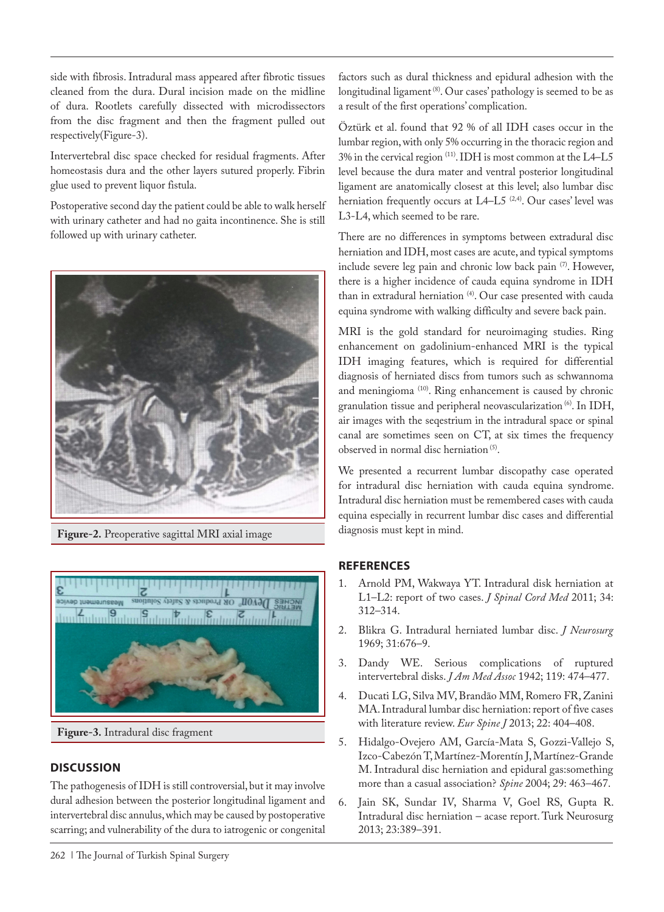side with fibrosis. Intradural mass appeared after fibrotic tissues cleaned from the dura. Dural incision made on the midline of dura. Rootlets carefully dissected with microdissectors from the disc fragment and then the fragment pulled out respectively(Figure-3).

Intervertebral disc space checked for residual fragments. After homeostasis dura and the other layers sutured properly. Fibrin glue used to prevent liquor fistula.

Postoperative second day the patient could be able to walk herself with urinary catheter and had no gaita incontinence. She is still followed up with urinary catheter.



**Figure-2.** Preoperative sagittal MRI axial image



**Figure-3.** Intradural disc fragment

## **DISCUSSION**

The pathogenesis of IDH is still controversial, but it may involve dural adhesion between the posterior longitudinal ligament and intervertebral disc annulus, which may be caused by postoperative scarring; and vulnerability of the dura to iatrogenic or congenital

factors such as dural thickness and epidural adhesion with the longitudinal ligament<sup>(8)</sup>. Our cases' pathology is seemed to be as a result of the first operations' complication.

Öztürk et al. found that 92 % of all IDH cases occur in the lumbar region, with only 5% occurring in the thoracic region and 3% in the cervical region (11). IDH is most common at the L4–L5 level because the dura mater and ventral posterior longitudinal ligament are anatomically closest at this level; also lumbar disc herniation frequently occurs at L4-L5<sup>(2,4)</sup>. Our cases' level was L3-L4, which seemed to be rare.

There are no differences in symptoms between extradural disc herniation and IDH, most cases are acute, and typical symptoms include severe leg pain and chronic low back pain (7). However, there is a higher incidence of cauda equina syndrome in IDH than in extradural herniation<sup>(4)</sup>. Our case presented with cauda equina syndrome with walking difficulty and severe back pain.

MRI is the gold standard for neuroimaging studies. Ring enhancement on gadolinium-enhanced MRI is the typical IDH imaging features, which is required for differential diagnosis of herniated discs from tumors such as schwannoma and meningioma (10). Ring enhancement is caused by chronic granulation tissue and peripheral neovascularization (6). In IDH, air images with the seqestrium in the intradural space or spinal canal are sometimes seen on CT, at six times the frequency observed in normal disc herniation (5).

We presented a recurrent lumbar discopathy case operated for intradural disc herniation with cauda equina syndrome. Intradural disc herniation must be remembered cases with cauda equina especially in recurrent lumbar disc cases and differential diagnosis must kept in mind.

## **REFERENCES**

- 1. Arnold PM, Wakwaya YT. Intradural disk herniation at L1–L2: report of two cases. *J Spinal Cord Med* 2011; 34: 312–314.
- 2. Blikra G. Intradural herniated lumbar disc. *J Neurosurg* 1969; 31:676–9.
- 3. Dandy WE. Serious complications of ruptured intervertebral disks. *J Am Med Assoc* 1942; 119: 474–477.
- 4. Ducati LG, Silva MV, Brandão MM, Romero FR, Zanini MA. Intradural lumbar disc herniation: report of five cases with literature review. *Eur Spine J* 2013; 22: 404–408.
- 5. Hidalgo-Ovejero AM, García-Mata S, Gozzi-Vallejo S, Izco-Cabezón T, Martínez-Morentín J, Martínez-Grande M. Intradural disc herniation and epidural gas:something more than a casual association? *Spine* 2004; 29: 463–467.
- 6. Jain SK, Sundar IV, Sharma V, Goel RS, Gupta R. Intradural disc herniation – acase report. Turk Neurosurg 2013; 23:389–391.